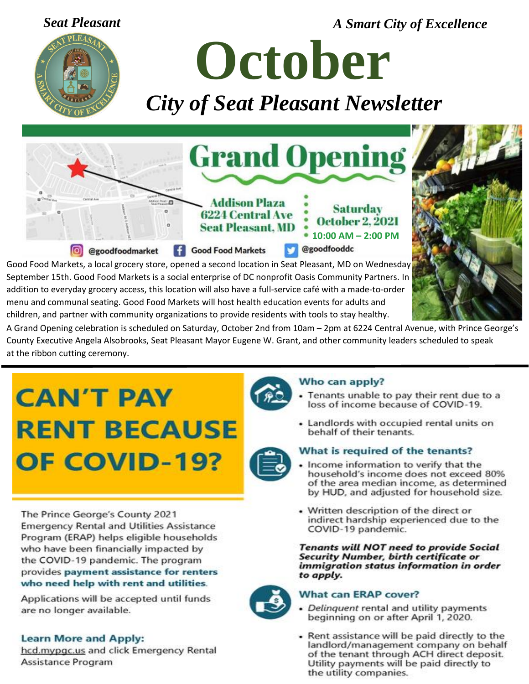*Seat Pleasant A Smart City of Excellence*



**October** *City of Seat Pleasant Newsletter*



Good Food Markets, a local grocery store, opened a second location in Seat Pleasant, MD on Wednesday September 15th. Good Food Markets is a social enterprise of DC nonprofit Oasis Community Partners. In addition to everyday grocery access, this location will also have a full-service café with a made-to-order menu and communal seating. Good Food Markets will host health education events for adults and children, and partner with community organizations to provide residents with tools to stay healthy.



 County Executive Angela Alsobrooks, Seat Pleasant Mayor Eugene W. Grant, and other community leaders scheduled to speak A Grand Opening celebration is scheduled on Saturday, October 2nd from 10am – 2pm at 6224 Central Avenue, with Prince George's at the ribbon cutting ceremony.

# **CAN'T PAY RENT BECAUSE** OF COVID-19?

The Prince George's County 2021 **Emergency Rental and Utilities Assistance** Program (ERAP) helps eligible households who have been financially impacted by the COVID-19 pandemic. The program provides payment assistance for renters who need help with rent and utilities.

Applications will be accepted until funds are no longer available.

### **Learn More and Apply:**

hcd.mypgc.us and click Emergency Rental Assistance Program



#### Who can apply?

- Tenants unable to pay their rent due to a loss of income because of COVID-19.
- Landlords with occupied rental units on behalf of their tenants.

### What is required of the tenants?

- Income information to verify that the household's income does not exceed 80% of the area median income, as determined by HUD, and adjusted for household size.
- Written description of the direct or indirect hardship experienced due to the COVID-19 pandemic.

**Tenants will NOT need to provide Social** Security Number, birth certificate or immigration status information in order to apply.



#### **What can ERAP cover?**

- Delinquent rental and utility payments beginning on or after April 1, 2020.
- Rent assistance will be paid directly to the landlord/management company on behalf of the tenant through ACH direct deposit. Utility payments will be paid directly to the utility companies.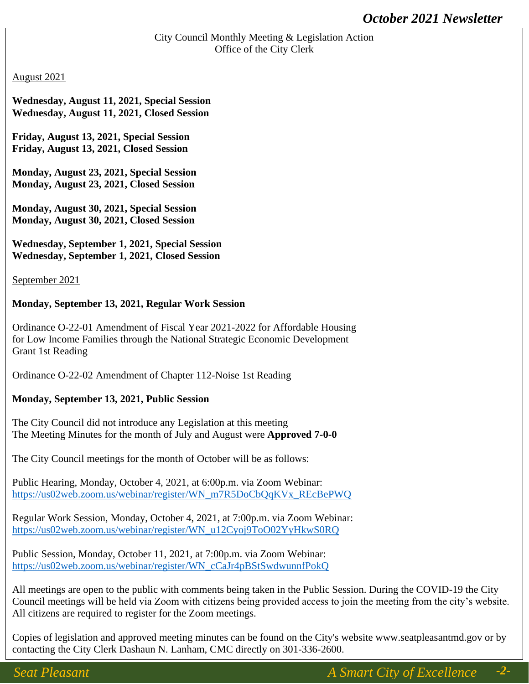#### City Council Monthly Meeting & Legislation Action Office of the City Clerk

#### August 2021

**Wednesday, August 11, 2021, Special Session Wednesday, August 11, 2021, Closed Session**

**Friday, August 13, 2021, Special Session Friday, August 13, 2021, Closed Session**

**Monday, August 23, 2021, Special Session Monday, August 23, 2021, Closed Session**

**Monday, August 30, 2021, Special Session Monday, August 30, 2021, Closed Session**

**Wednesday, September 1, 2021, Special Session Wednesday, September 1, 2021, Closed Session**

September 2021

#### **Monday, September 13, 2021, Regular Work Session**

Ordinance O-22-01 Amendment of Fiscal Year 2021-2022 for Affordable Housing for Low Income Families through the National Strategic Economic Development Grant 1st Reading

Ordinance O-22-02 Amendment of Chapter 112-Noise 1st Reading

### NOW **Monday, September 13, 2021, Public Session**

The Meeting Minutes for the month of July and August were **Approved 7-0-0** The City Council did not introduce any Legislation at this meeting

The City Council meetings for the month of October will be as follows:

Public Hearing, Monday, October 4, 2021, at 6:00p.m. via Zoom Webinar: [https://us02web.zoom.us/webinar/register/WN\\_m7R5DoCbQqKVx\\_REcBePWQ](https://us02web.zoom.us/webinar/register/WN_m7R5DoCbQqKVx_REcBePWQ)

Regular Work Session, Monday, October 4, 2021, at 7:00p.m. via Zoom Webinar: [https://us02web.zoom.us/webinar/register/WN\\_u12Cyoj9ToO02YyHkwS0RQ](https://us02web.zoom.us/webinar/register/WN_u12Cyoj9ToO02YyHkwS0RQ)

Public Session, Monday, October 11, 2021, at 7:00p.m. via Zoom Webinar: [https://us02web.zoom.us/webinar/register/WN\\_cCaJr4pBStSwdwunnfPokQ](https://us02web.zoom.us/webinar/register/WN_cCaJr4pBStSwdwunnfPokQ)

*Join the Seat Pleasant*  Council meetings will be held via Zoom with citizens being provided access to join the meeting from the city's website. *Police Department* All citizens are required to register for the Zoom meetings. All meetings are open to the public with comments being taken in the Public Session. During the COVID-19 the City

*… and Make a*  Copies of legislation and approved meeting minutes can be found on the City's website www.seatpleasantmd.gov or by<br>contractive the City Clark Deckers N.J. where CMG directly as 201,226,2600. contacting the City Clerk Dashaun N. Lanham, CMC directly on 301-336-2600.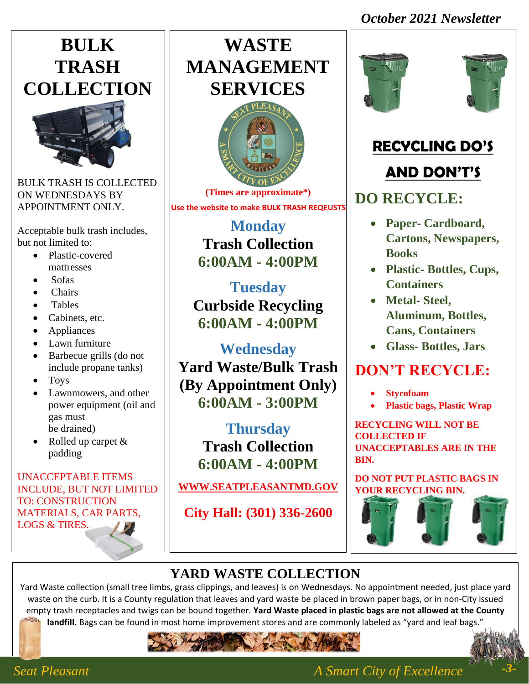### *October 2021 Newsletter*





BULK TRASH IS COLLECTED ON WEDNESDAYS BY APPOINTMENT ONLY.

Acceptable bulk trash includes, but not limited to:

- Plastic-covered mattresses
- Sofas
- Chairs
- Tables
- Cabinets, etc.
- Appliances
- Lawn furniture
- Barbecue grills (do not include propane tanks)
- Toys
- Lawnmowers, and other power equipment (oil and gas must be drained)
- Rolled up carpet & padding

#### UNACCEPTABLE ITEMS INCLUDE, BUT NOT LIMITED TO: CONSTRUCTION MATERIALS, CAR PARTS, LOGS & TIRES.

### **WASTE MANAGEMENT SERVICES**



**(Times are approximate\*) Use the website to make BULK TRASH REQEUSTS**

> **Monday Trash Collection 6:00AM - 4:00PM**

**Tuesday Curbside Recycling 6:00AM - 4:00PM**

**Wednesday Yard Waste/Bulk Trash (By Appointment Only) 6:00AM - 3:00PM**

> **Thursday Trash Collection 6:00AM - 4:00PM**

**[WWW.SEATPLEASANTMD.GOV](http://www.seatpleasantmd.gov/)**

**City Hall: (301) 336-2600**





### **RECYCLING DO'S**

### **AND DON'T'S**

### **DO RECYCLE:**

- **Paper- Cardboard, Cartons, Newspapers, Books**
- **Plastic- Bottles, Cups, Containers**
- **Metal- Steel, Aluminum, Bottles, Cans, Containers**
- **Glass- Bottles, Jars**

### **DON'T RECYCLE:**

- **Styrofoam**
- **Plastic bags, Plastic Wrap**

**RECYCLING WILL NOT BE COLLECTED IF UNACCEPTABLES ARE IN THE BIN.**

**DO NOT PUT PLASTIC BAGS IN YOUR RECYCLING BIN.**



### **YARD WASTE COLLECTION**

Yard Waste collection (small tree limbs, grass clippings, and leaves) is on Wednesdays. No appointment needed, just place yard waste on the curb. It is a County regulation that leaves and yard waste be placed in brown paper bags, or in non-City issued empty trash receptacles and twigs can be bound together. **Yard Waste placed in plastic bags are not allowed at the County landfill.** Bags can be found in most home improvement stores and are commonly labeled as "yard and leaf bags."





*Seat Pleasant A Smart City of Excellence*